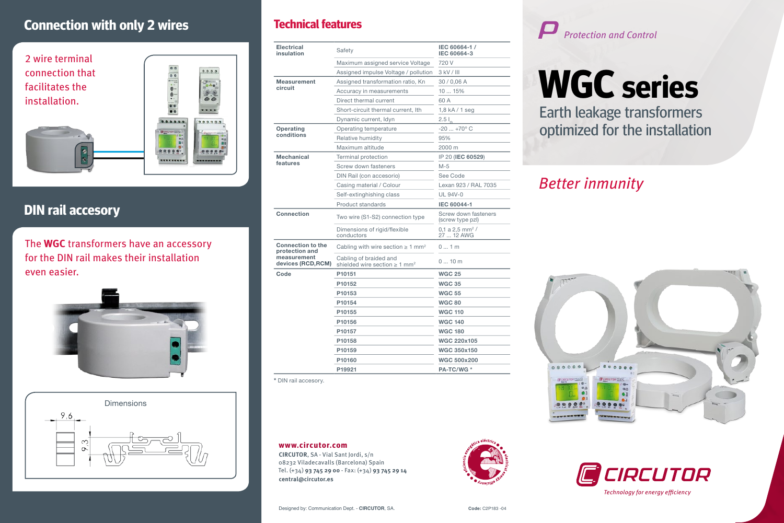# **Connection with only 2 wires**

| 2 wire terminal<br>connection that<br>facilitates the<br>installation. |              |
|------------------------------------------------------------------------|--------------|
|                                                                        | Conturbo S.D |

# **DIN rail accesory**

The **WGC** transformers have an accessory for the DIN rail makes their installation even easier.





#### **Technical features**

| <b>Electrical</b><br>insulation                                                 | Safety                                                                   | IEC 60664-1 /<br>IEC 60664-3                |
|---------------------------------------------------------------------------------|--------------------------------------------------------------------------|---------------------------------------------|
|                                                                                 | Maximum assigned service Voltage                                         | 720 V                                       |
|                                                                                 | Assigned impulse Voltage / pollution                                     | 3 kV / III                                  |
| <b>Measurement</b><br>circuit                                                   | Assigned transformation ratio, Kn                                        | 30 / 0,06 A                                 |
|                                                                                 | Accuracy in measurements                                                 | 10  15%                                     |
|                                                                                 | Direct thermal current                                                   | 60 A                                        |
|                                                                                 | Short-circuit thermal current, Ith                                       | 1,8 kA / 1 seg                              |
|                                                                                 | Dynamic current, Idyn                                                    | $2.5 I_{th}$                                |
| Operating<br>conditions                                                         | Operating temperature                                                    | $-20+70$ °C                                 |
|                                                                                 | Relative humidity                                                        | 95%                                         |
|                                                                                 | Maximum altitude                                                         | 2000 m                                      |
| Mechanical<br>features                                                          | <b>Terminal protection</b>                                               | IP 20 (IEC 60529)                           |
|                                                                                 | Screw down fasteners                                                     | $M-5$                                       |
|                                                                                 | DIN Rail (con accesorio)                                                 | See Code                                    |
|                                                                                 | Casing material / Colour                                                 | Lexan 923 / RAL 7035                        |
|                                                                                 | Self-extinghishing class                                                 | <b>UL 94V-0</b>                             |
|                                                                                 | Product standards                                                        | <b>IEC 60044-1</b>                          |
| Connection                                                                      | Two wire (S1-S2) connection type                                         | Screw down fasteners<br>(screw type pzl)    |
|                                                                                 | Dimensions of rigid/flexible<br>conductors                               | $0.1$ a 2.5 mm <sup>2</sup> /<br>27  12 AWG |
| <b>Connection to the</b><br>protection and<br>measurement<br>devices (RCD, RCM) | Cabling with wire section $\geq 1$ mm <sup>2</sup>                       | 01m                                         |
|                                                                                 | Cabling of braided and<br>shielded wire section $\geq 1$ mm <sup>2</sup> | 010m                                        |
| Code                                                                            | P10151                                                                   | <b>WGC 25</b>                               |
|                                                                                 | P10152                                                                   | <b>WGC 35</b>                               |
|                                                                                 | P10153                                                                   | <b>WGC 55</b>                               |
|                                                                                 | P10154                                                                   | <b>WGC 80</b>                               |
|                                                                                 | P10155                                                                   | <b>WGC 110</b>                              |
|                                                                                 | P10156                                                                   | <b>WGC 140</b>                              |
|                                                                                 | P10157                                                                   | <b>WGC 180</b>                              |
|                                                                                 | P10158                                                                   | <b>WGC 220x105</b>                          |
|                                                                                 | P <sub>10159</sub>                                                       | WGC 350x150                                 |
|                                                                                 | P10160                                                                   | <b>WGC 500x200</b>                          |
|                                                                                 | P19921                                                                   | PA-TC/WG*                                   |

**\*** DIN rail accesory.

**www.circutor.com**

**CIRCUTOR**, SA - Vial Sant Jordi, s/n 08232 Viladecavalls (Barcelona) Spain Tel. (+34) **93 745 29 00** - Fax: (+34) **93 745 29 14 central@circutor.es**





**WGC series**

Protection and Control

Earth leakage transformers

optimized for the installation





Designed by: Communication Dept. - **CIRCUTOR**, SA. **Code:** C2P183 -04